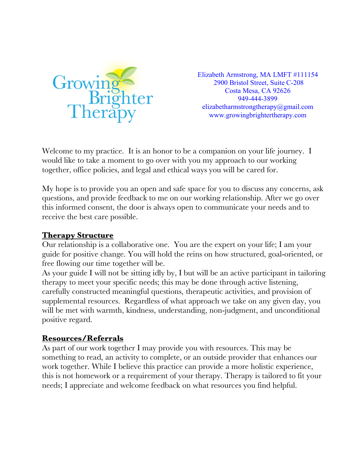

Elizabeth Armstrong, MA LMFT #111154 2900 Bristol Street, Suite C-208 Costa Mesa, CA 92626 949-444-3899 elizabetharmstrongtherapy@gmail.com www.growingbrightertherapy.com

Welcome to my practice. It is an honor to be a companion on your life journey. I would like to take a moment to go over with you my approach to our working together, office policies, and legal and ethical ways you will be cared for.

My hope is to provide you an open and safe space for you to discuss any concerns, ask questions, and provide feedback to me on our working relationship. After we go over this informed consent, the door is always open to communicate your needs and to receive the best care possible.

#### **Therapy Structure**

Our relationship is a collaborative one. You are the expert on your life; I am your guide for positive change. You will hold the reins on how structured, goal-oriented, or free flowing our time together will be.

As your guide I will not be sitting idly by, I but will be an active participant in tailoring therapy to meet your specific needs; this may be done through active listening, carefully constructed meaningful questions, therapeutic activities, and provision of supplemental resources. Regardless of what approach we take on any given day, you will be met with warmth, kindness, understanding, non-judgment, and unconditional positive regard.

#### **Resources/Referrals**

As part of our work together I may provide you with resources. This may be something to read, an activity to complete, or an outside provider that enhances our work together. While I believe this practice can provide a more holistic experience, this is not homework or a requirement of your therapy. Therapy is tailored to fit your needs; I appreciate and welcome feedback on what resources you find helpful.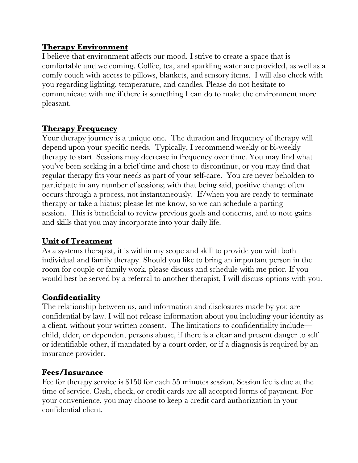#### **Therapy Environment**

I believe that environment affects our mood. I strive to create a space that is comfortable and welcoming. Coffee, tea, and sparkling water are provided, as well as a comfy couch with access to pillows, blankets, and sensory items. I will also check with you regarding lighting, temperature, and candles. Please do not hesitate to communicate with me if there is something I can do to make the environment more pleasant.

### **Therapy Frequency**

Your therapy journey is a unique one. The duration and frequency of therapy will depend upon your specific needs. Typically, I recommend weekly or bi-weekly therapy to start. Sessions may decrease in frequency over time. You may find what you've been seeking in a brief time and chose to discontinue, or you may find that regular therapy fits your needs as part of your self-care. You are never beholden to participate in any number of sessions; with that being said, positive change often occurs through a process, not instantaneously. If/when you are ready to terminate therapy or take a hiatus; please let me know, so we can schedule a parting session. This is beneficial to review previous goals and concerns, and to note gains and skills that you may incorporate into your daily life.

#### **Unit of Treatment**

As a systems therapist, it is within my scope and skill to provide you with both individual and family therapy. Should you like to bring an important person in the room for couple or family work, please discuss and schedule with me prior. If you would best be served by a referral to another therapist, I will discuss options with you.

## **Confidentiality**

The relationship between us, and information and disclosures made by you are confidential by law. I will not release information about you including your identity as a client, without your written consent. The limitations to confidentiality include child, elder, or dependent persons abuse, if there is a clear and present danger to self or identifiable other, if mandated by a court order, or if a diagnosis is required by an insurance provider.

#### **Fees/Insurance**

Fee for therapy service is \$150 for each 55 minutes session. Session fee is due at the time of service. Cash, check, or credit cards are all accepted forms of payment. For your convenience, you may choose to keep a credit card authorization in your confidential client.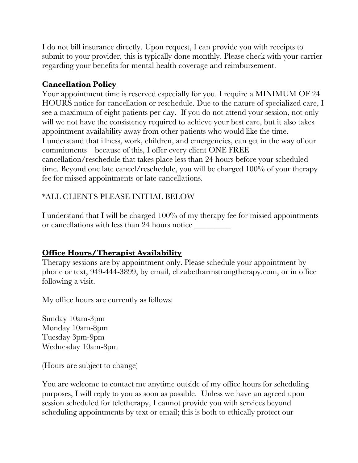I do not bill insurance directly. Upon request, I can provide you with receipts to submit to your provider, this is typically done monthly. Please check with your carrier regarding your benefits for mental health coverage and reimbursement.

## **Cancellation Policy**

Your appointment time is reserved especially for you. I require a MINIMUM OF 24 HOURS notice for cancellation or reschedule. Due to the nature of specialized care, I see a maximum of eight patients per day. If you do not attend your session, not only will we not have the consistency required to achieve your best care, but it also takes appointment availability away from other patients who would like the time. I understand that illness, work, children, and emergencies, can get in the way of our commitments—because of this, I offer every client ONE FREE cancellation/reschedule that takes place less than 24 hours before your scheduled time. Beyond one late cancel/reschedule, you will be charged 100% of your therapy fee for missed appointments or late cancellations.

### \*ALL CLIENTS PLEASE INITIAL BELOW

I understand that I will be charged 100% of my therapy fee for missed appointments or cancellations with less than 24 hours notice \_\_\_\_\_\_\_\_\_\_\_\_\_\_\_\_\_\_\_\_\_\_\_\_\_\_\_\_\_\_\_\_\_

## **Office Hours/Therapist Availability**

Therapy sessions are by appointment only. Please schedule your appointment by phone or text, 949-444-3899, by email, elizabetharmstrongtherapy.com, or in office following a visit.

My office hours are currently as follows:

Sunday 10am-3pm Monday 10am-8pm Tuesday 3pm-9pm Wednesday 10am-8pm

(Hours are subject to change)

You are welcome to contact me anytime outside of my office hours for scheduling purposes, I will reply to you as soon as possible. Unless we have an agreed upon session scheduled for teletherapy, I cannot provide you with services beyond scheduling appointments by text or email; this is both to ethically protect our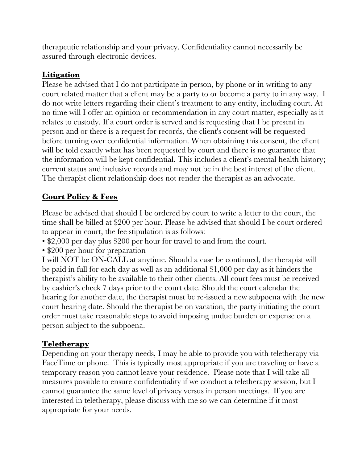therapeutic relationship and your privacy. Confidentiality cannot necessarily be assured through electronic devices.

## **Litigation**

Please be advised that I do not participate in person, by phone or in writing to any court related matter that a client may be a party to or become a party to in any way. I do not write letters regarding their client's treatment to any entity, including court. At no time will I offer an opinion or recommendation in any court matter, especially as it relates to custody. If a court order is served and is requesting that I be present in person and or there is a request for records, the client's consent will be requested before turning over confidential information. When obtaining this consent, the client will be told exactly what has been requested by court and there is no guarantee that the information will be kept confidential. This includes a client's mental health history; current status and inclusive records and may not be in the best interest of the client. The therapist client relationship does not render the therapist as an advocate.

# **Court Policy & Fees**

Please be advised that should I be ordered by court to write a letter to the court, the time shall be billed at \$200 per hour. Please be advised that should I be court ordered to appear in court, the fee stipulation is as follows:

- \$2,000 per day plus \$200 per hour for travel to and from the court.
- \$200 per hour for preparation

I will NOT be ON-CALL at anytime. Should a case be continued, the therapist will be paid in full for each day as well as an additional \$1,000 per day as it hinders the therapist's ability to be available to their other clients. All court fees must be received by cashier's check 7 days prior to the court date. Should the court calendar the hearing for another date, the therapist must be re-issued a new subpoena with the new court hearing date. Should the therapist be on vacation, the party initiating the court order must take reasonable steps to avoid imposing undue burden or expense on a person subject to the subpoena.

## **Teletherapy**

Depending on your therapy needs, I may be able to provide you with teletherapy via FaceTime or phone. This is typically most appropriate if you are traveling or have a temporary reason you cannot leave your residence. Please note that I will take all measures possible to ensure confidentiality if we conduct a teletherapy session, but I cannot guarantee the same level of privacy versus in person meetings. If you are interested in teletherapy, please discuss with me so we can determine if it most appropriate for your needs.